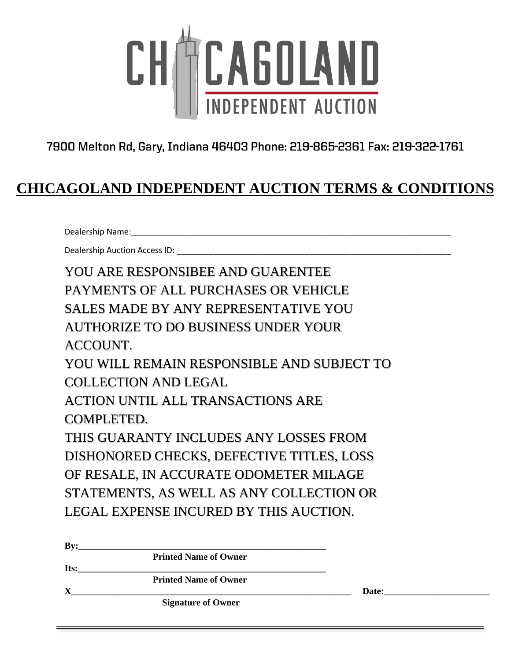

7900 Melton Rd, Gary, Indiana 46403 Phone: 219-865-2361 Fax: 219-322-1761

## **CHICAGOLAND INDEPENDENT AUCTION TERMS & CONDITIONS**

Dealership Name:\_\_\_\_\_\_\_\_\_\_\_\_\_\_\_\_\_\_\_\_\_\_\_\_\_\_\_\_\_\_\_\_\_\_\_\_\_\_\_\_\_\_\_\_\_\_\_\_\_\_\_\_\_\_\_\_\_\_\_\_\_\_\_\_\_\_\_\_\_\_

Dealership Auction Access ID:

YOU ARE RESPONSIBEE AND GUARENTEE PAYMENTS OF ALL PURCHASES OR VEHICLE SALES MADE BY ANY REPRESENTATIVE YOU AUTHORIZE TO DO BUSINESS UNDER YOUR ACCOUNT. YOU WILL REMAIN RESPONSIBLE AND SUBJECT TO COLLECTION AND LEGAL ACTION UNTIL ALL TRANSACTIONS ARE COMPLETED. THIS GUARANTY INCLUDES ANY LOSSES FROM DISHONORED CHECKS, DEFECTIVE TITLES, LOSS OF RESALE, IN ACCURATE ODOMETER MILAGE STATEMENTS, AS WELL AS ANY COLLECTION OR LEGAL EXPENSE INCURED BY THIS AUCTION.

| <b>Printed Name of Owner</b> |       |  |
|------------------------------|-------|--|
|                              |       |  |
| <b>Printed Name of Owner</b> |       |  |
|                              | Date: |  |
| <b>Signature of Owner</b>    |       |  |
|                              |       |  |